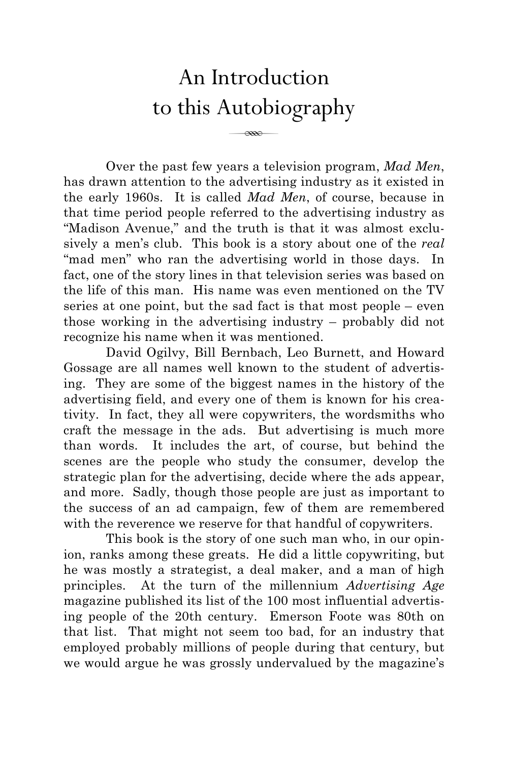## An Introduction to this Autobiography

 $\overline{\phantom{a}}$ 

Over the past few years a television program, *Mad Men*, has drawn attention to the advertising industry as it existed in the early 1960s. It is called *Mad Men*, of course, because in that time period people referred to the advertising industry as "Madison Avenue," and the truth is that it was almost exclusively a men's club. This book is a story about one of the *real* "mad men" who ran the advertising world in those days. In fact, one of the story lines in that television series was based on the life of this man. His name was even mentioned on the TV series at one point, but the sad fact is that most people – even those working in the advertising industry – probably did not recognize his name when it was mentioned.

David Ogilvy, Bill Bernbach, Leo Burnett, and Howard Gossage are all names well known to the student of advertising. They are some of the biggest names in the history of the advertising field, and every one of them is known for his creativity. In fact, they all were copywriters, the wordsmiths who craft the message in the ads. But advertising is much more than words. It includes the art, of course, but behind the scenes are the people who study the consumer, develop the strategic plan for the advertising, decide where the ads appear, and more. Sadly, though those people are just as important to the success of an ad campaign, few of them are remembered with the reverence we reserve for that handful of copywriters.

This book is the story of one such man who, in our opinion, ranks among these greats. He did a little copywriting, but he was mostly a strategist, a deal maker, and a man of high principles. At the turn of the millennium *Advertising Age* magazine published its list of the 100 most influential advertising people of the 20th century. Emerson Foote was 80th on that list. That might not seem too bad, for an industry that employed probably millions of people during that century, but we would argue he was grossly undervalued by the magazine's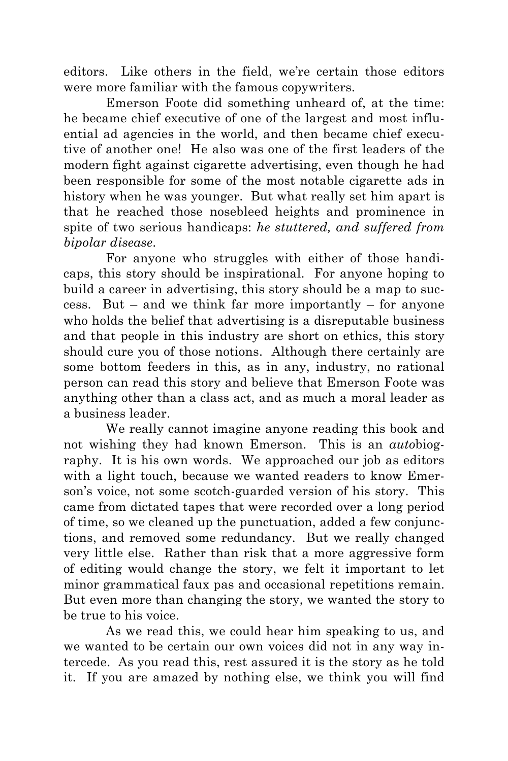editors. Like others in the field, we're certain those editors were more familiar with the famous copywriters.

Emerson Foote did something unheard of, at the time: he became chief executive of one of the largest and most influential ad agencies in the world, and then became chief executive of another one! He also was one of the first leaders of the modern fight against cigarette advertising, even though he had been responsible for some of the most notable cigarette ads in history when he was younger. But what really set him apart is that he reached those nosebleed heights and prominence in spite of two serious handicaps: *he stuttered, and suffered from bipolar disease*.

For anyone who struggles with either of those handicaps, this story should be inspirational. For anyone hoping to build a career in advertising, this story should be a map to success. But – and we think far more importantly – for anyone who holds the belief that advertising is a disreputable business and that people in this industry are short on ethics, this story should cure you of those notions. Although there certainly are some bottom feeders in this, as in any, industry, no rational person can read this story and believe that Emerson Foote was anything other than a class act, and as much a moral leader as a business leader.

We really cannot imagine anyone reading this book and not wishing they had known Emerson. This is an *auto*biography. It is his own words. We approached our job as editors with a light touch, because we wanted readers to know Emerson's voice, not some scotch-guarded version of his story. This came from dictated tapes that were recorded over a long period of time, so we cleaned up the punctuation, added a few conjunctions, and removed some redundancy. But we really changed very little else. Rather than risk that a more aggressive form of editing would change the story, we felt it important to let minor grammatical faux pas and occasional repetitions remain. But even more than changing the story, we wanted the story to be true to his voice.

As we read this, we could hear him speaking to us, and we wanted to be certain our own voices did not in any way intercede. As you read this, rest assured it is the story as he told it. If you are amazed by nothing else, we think you will find